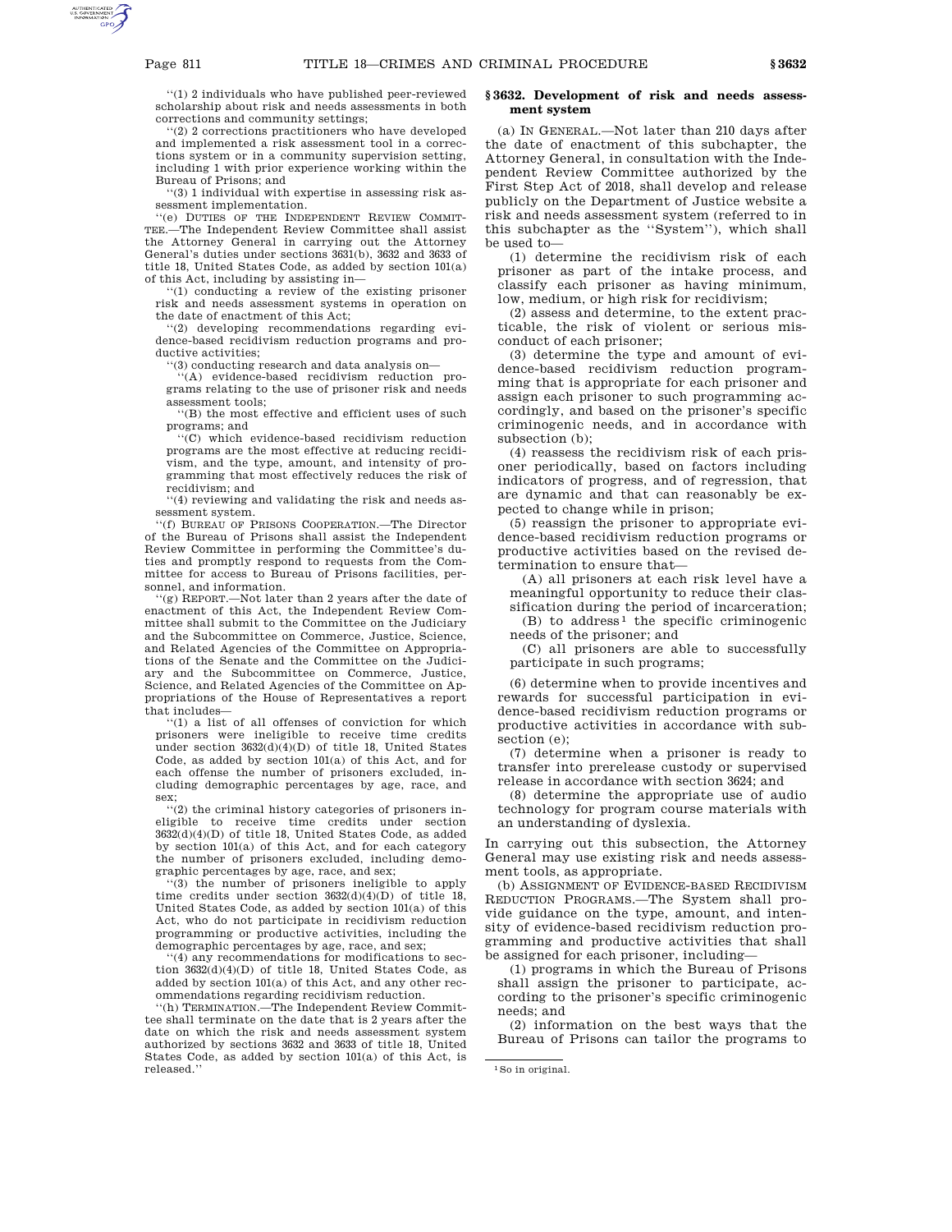''(1) 2 individuals who have published peer-reviewed scholarship about risk and needs assessments in both corrections and community settings;

'(2) 2 corrections practitioners who have developed and implemented a risk assessment tool in a corrections system or in a community supervision setting, including 1 with prior experience working within the Bureau of Prisons; and

''(3) 1 individual with expertise in assessing risk assessment implementation.

''(e) DUTIES OF THE INDEPENDENT REVIEW COMMIT-TEE.—The Independent Review Committee shall assist the Attorney General in carrying out the Attorney General's duties under sections 3631(b), 3632 and 3633 of title 18, United States Code, as added by section 101(a) of this Act, including by assisting in—

''(1) conducting a review of the existing prisoner risk and needs assessment systems in operation on the date of enactment of this Act;

''(2) developing recommendations regarding evidence-based recidivism reduction programs and productive activities;

''(3) conducting research and data analysis on—

''(A) evidence-based recidivism reduction programs relating to the use of prisoner risk and needs assessment tools;

''(B) the most effective and efficient uses of such programs; and

''(C) which evidence-based recidivism reduction programs are the most effective at reducing recidivism, and the type, amount, and intensity of programming that most effectively reduces the risk of recidivism; and

''(4) reviewing and validating the risk and needs assessment system.

'(f) BUREAU OF PRISONS COOPERATION.—The Director of the Bureau of Prisons shall assist the Independent Review Committee in performing the Committee's duties and promptly respond to requests from the Committee for access to Bureau of Prisons facilities, personnel, and information.

'(g) REPORT.—Not later than 2 years after the date of enactment of this Act, the Independent Review Committee shall submit to the Committee on the Judiciary and the Subcommittee on Commerce, Justice, Science, and Related Agencies of the Committee on Appropriations of the Senate and the Committee on the Judiciary and the Subcommittee on Commerce, Justice, Science, and Related Agencies of the Committee on Appropriations of the House of Representatives a report that includes—

'(1) a list of all offenses of conviction for which prisoners were ineligible to receive time credits under section  $3632(d)(4)(D)$  of title 18, United States Code, as added by section 101(a) of this Act, and for each offense the number of prisoners excluded, including demographic percentages by age, race, and sex;

''(2) the criminal history categories of prisoners ineligible to receive time credits under section  $3632(d)(4)(D)$  of title 18, United States Code, as added by section 101(a) of this Act, and for each category the number of prisoners excluded, including demographic percentages by age, race, and sex;

''(3) the number of prisoners ineligible to apply time credits under section  $3632(d)(4)(D)$  of title 18, United States Code, as added by section 101(a) of this Act, who do not participate in recidivism reduction programming or productive activities, including the demographic percentages by age, race, and sex;

''(4) any recommendations for modifications to section  $3632(d)(4)(D)$  of title 18, United States Code, as added by section 101(a) of this Act, and any other recommendations regarding recidivism reduction.

''(h) TERMINATION.—The Independent Review Committee shall terminate on the date that is 2 years after the date on which the risk and needs assessment system authorized by sections 3632 and 3633 of title 18, United States Code, as added by section 101(a) of this Act, is released.''

## **§ 3632. Development of risk and needs assessment system**

(a) IN GENERAL.—Not later than 210 days after the date of enactment of this subchapter, the Attorney General, in consultation with the Independent Review Committee authorized by the First Step Act of 2018, shall develop and release publicly on the Department of Justice website a risk and needs assessment system (referred to in this subchapter as the ''System''), which shall be used to—

(1) determine the recidivism risk of each prisoner as part of the intake process, and classify each prisoner as having minimum, low, medium, or high risk for recidivism;

(2) assess and determine, to the extent practicable, the risk of violent or serious misconduct of each prisoner;

(3) determine the type and amount of evidence-based recidivism reduction programming that is appropriate for each prisoner and assign each prisoner to such programming accordingly, and based on the prisoner's specific criminogenic needs, and in accordance with subsection (b);

(4) reassess the recidivism risk of each prisoner periodically, based on factors including indicators of progress, and of regression, that are dynamic and that can reasonably be expected to change while in prison;

(5) reassign the prisoner to appropriate evidence-based recidivism reduction programs or productive activities based on the revised determination to ensure that—

(A) all prisoners at each risk level have a meaningful opportunity to reduce their classification during the period of incarceration;

 $(B)$  to address<sup>1</sup> the specific criminogenic needs of the prisoner; and

(C) all prisoners are able to successfully participate in such programs;

(6) determine when to provide incentives and rewards for successful participation in evidence-based recidivism reduction programs or productive activities in accordance with subsection (e);

(7) determine when a prisoner is ready to transfer into prerelease custody or supervised release in accordance with section 3624; and

(8) determine the appropriate use of audio technology for program course materials with an understanding of dyslexia.

In carrying out this subsection, the Attorney General may use existing risk and needs assessment tools, as appropriate.

(b) ASSIGNMENT OF EVIDENCE-BASED RECIDIVISM REDUCTION PROGRAMS.—The System shall provide guidance on the type, amount, and intensity of evidence-based recidivism reduction programming and productive activities that shall be assigned for each prisoner, including—

(1) programs in which the Bureau of Prisons shall assign the prisoner to participate, according to the prisoner's specific criminogenic needs; and

(2) information on the best ways that the Bureau of Prisons can tailor the programs to

<sup>1</sup>So in original.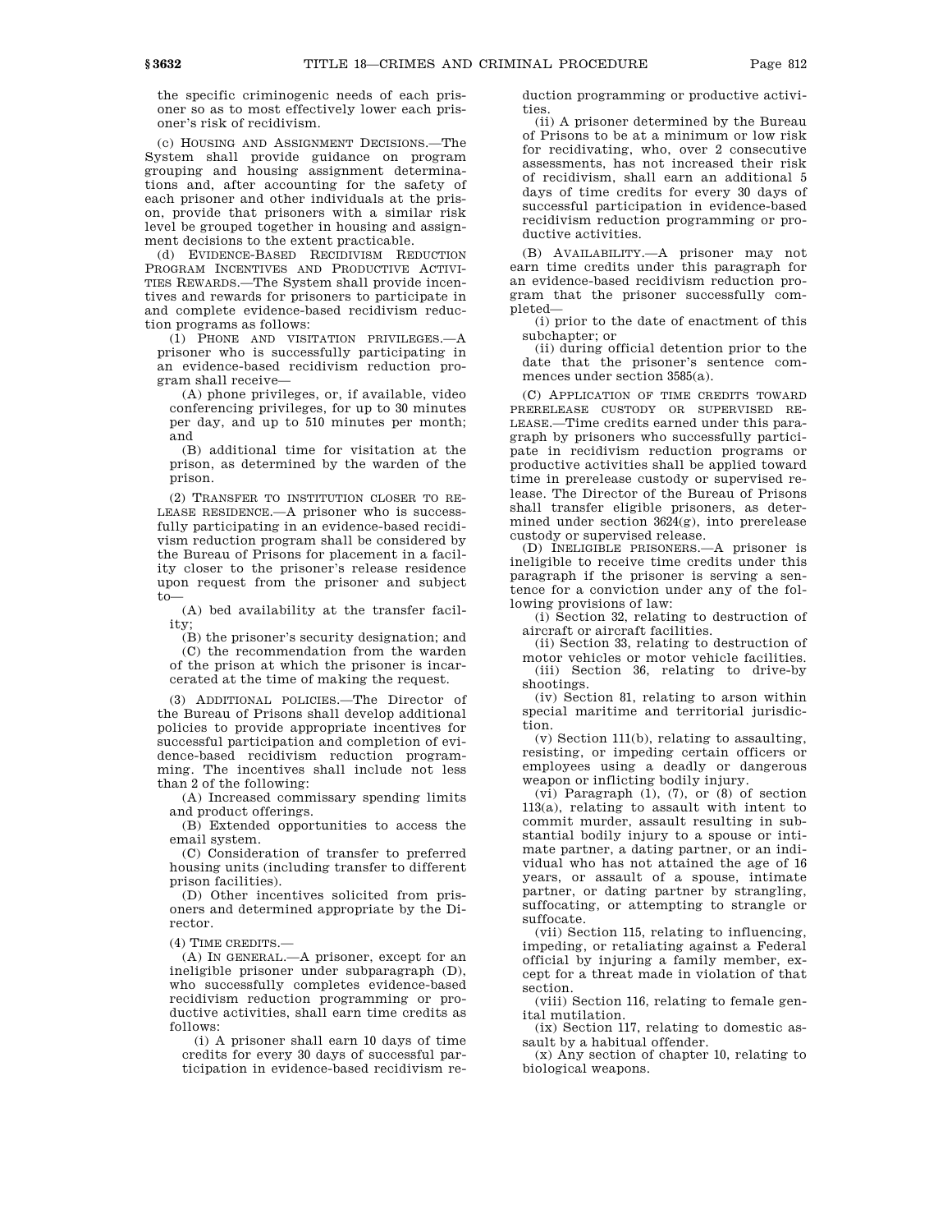the specific criminogenic needs of each prisoner so as to most effectively lower each prisoner's risk of recidivism.

(c) HOUSING AND ASSIGNMENT DECISIONS.—The System shall provide guidance on program grouping and housing assignment determinations and, after accounting for the safety of each prisoner and other individuals at the prison, provide that prisoners with a similar risk level be grouped together in housing and assignment decisions to the extent practicable.

(d) EVIDENCE-BASED RECIDIVISM REDUCTION PROGRAM INCENTIVES AND PRODUCTIVE ACTIVI-TIES REWARDS.—The System shall provide incentives and rewards for prisoners to participate in and complete evidence-based recidivism reduction programs as follows:

(1) PHONE AND VISITATION PRIVILEGES.—A prisoner who is successfully participating in an evidence-based recidivism reduction program shall receive—

(A) phone privileges, or, if available, video conferencing privileges, for up to 30 minutes per day, and up to 510 minutes per month; and

(B) additional time for visitation at the prison, as determined by the warden of the prison.

(2) TRANSFER TO INSTITUTION CLOSER TO RE-LEASE RESIDENCE.—A prisoner who is successfully participating in an evidence-based recidivism reduction program shall be considered by the Bureau of Prisons for placement in a facility closer to the prisoner's release residence upon request from the prisoner and subject to—

(A) bed availability at the transfer facility;

(B) the prisoner's security designation; and (C) the recommendation from the warden of the prison at which the prisoner is incarcerated at the time of making the request.

(3) ADDITIONAL POLICIES.—The Director of the Bureau of Prisons shall develop additional policies to provide appropriate incentives for successful participation and completion of evidence-based recidivism reduction programming. The incentives shall include not less than 2 of the following:

(A) Increased commissary spending limits and product offerings.

(B) Extended opportunities to access the email system.

(C) Consideration of transfer to preferred housing units (including transfer to different prison facilities).

(D) Other incentives solicited from prisoners and determined appropriate by the Director.

(4) TIME CREDITS.—

(A) IN GENERAL.—A prisoner, except for an ineligible prisoner under subparagraph (D), who successfully completes evidence-based recidivism reduction programming or productive activities, shall earn time credits as follows:

(i) A prisoner shall earn 10 days of time credits for every 30 days of successful participation in evidence-based recidivism reduction programming or productive activities.

(ii) A prisoner determined by the Bureau of Prisons to be at a minimum or low risk for recidivating, who, over 2 consecutive assessments, has not increased their risk of recidivism, shall earn an additional 5 days of time credits for every 30 days of successful participation in evidence-based recidivism reduction programming or productive activities.

(B) AVAILABILITY.—A prisoner may not earn time credits under this paragraph for an evidence-based recidivism reduction program that the prisoner successfully completed—

(i) prior to the date of enactment of this subchapter; or

(ii) during official detention prior to the date that the prisoner's sentence commences under section 3585(a).

(C) APPLICATION OF TIME CREDITS TOWARD PRERELEASE CUSTODY OR SUPERVISED RE-LEASE.—Time credits earned under this paragraph by prisoners who successfully participate in recidivism reduction programs or productive activities shall be applied toward time in prerelease custody or supervised release. The Director of the Bureau of Prisons shall transfer eligible prisoners, as determined under section 3624(g), into prerelease custody or supervised release.

(D) INELIGIBLE PRISONERS.—A prisoner is ineligible to receive time credits under this paragraph if the prisoner is serving a sentence for a conviction under any of the following provisions of law:

(i) Section 32, relating to destruction of aircraft or aircraft facilities.

(ii) Section 33, relating to destruction of

motor vehicles or motor vehicle facilities. (iii) Section 36, relating to drive-by shootings.

(iv) Section 81, relating to arson within special maritime and territorial jurisdiction.

(v) Section 111(b), relating to assaulting, resisting, or impeding certain officers or employees using a deadly or dangerous weapon or inflicting bodily injury.

(vi) Paragraph (1), (7), or (8) of section 113(a), relating to assault with intent to commit murder, assault resulting in substantial bodily injury to a spouse or intimate partner, a dating partner, or an individual who has not attained the age of 16 years, or assault of a spouse, intimate partner, or dating partner by strangling, suffocating, or attempting to strangle or suffocate.

(vii) Section 115, relating to influencing, impeding, or retaliating against a Federal official by injuring a family member, except for a threat made in violation of that section.

(viii) Section 116, relating to female genital mutilation.

(ix) Section 117, relating to domestic assault by a habitual offender.

(x) Any section of chapter 10, relating to biological weapons.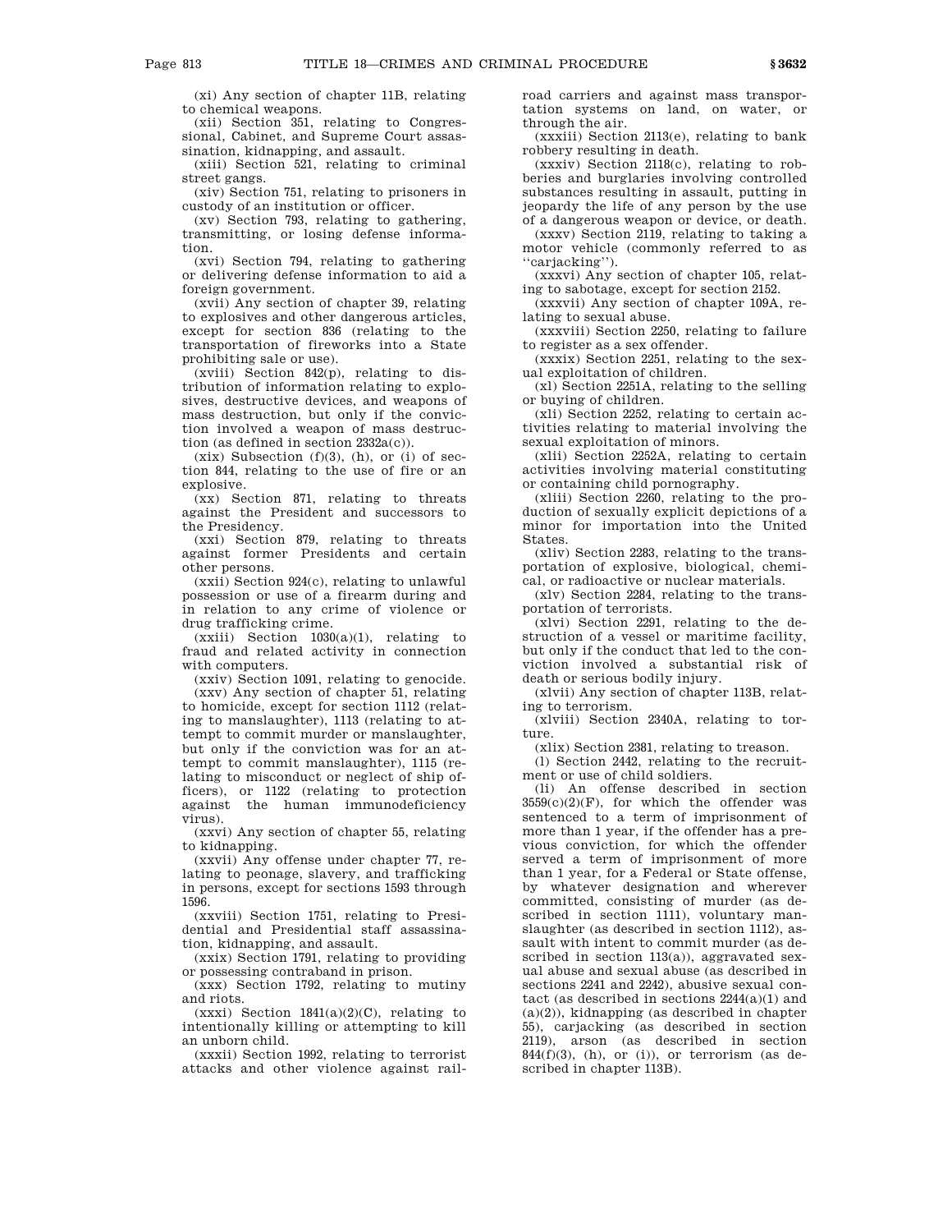(xi) Any section of chapter 11B, relating to chemical weapons.

(xii) Section 351, relating to Congressional, Cabinet, and Supreme Court assassination, kidnapping, and assault.

(xiii) Section 521, relating to criminal street gangs.

(xiv) Section 751, relating to prisoners in custody of an institution or officer.

(xv) Section 793, relating to gathering, transmitting, or losing defense information.

(xvi) Section 794, relating to gathering or delivering defense information to aid a foreign government.

(xvii) Any section of chapter 39, relating to explosives and other dangerous articles, except for section 836 (relating to the transportation of fireworks into a State prohibiting sale or use).

(xviii) Section 842(p), relating to distribution of information relating to explosives, destructive devices, and weapons of mass destruction, but only if the conviction involved a weapon of mass destruction (as defined in section 2332a(c)).

 $(xix)$  Subsection  $(f)(3)$ ,  $(h)$ , or  $(i)$  of section 844, relating to the use of fire or an explosive.

(xx) Section 871, relating to threats against the President and successors to the Presidency.

(xxi) Section 879, relating to threats against former Presidents and certain other persons.

(xxii) Section 924(c), relating to unlawful possession or use of a firearm during and in relation to any crime of violence or drug trafficking crime.

 $(xxiii)$  Section  $1030(a)(1)$ , relating to fraud and related activity in connection with computers.

(xxiv) Section 1091, relating to genocide.

(xxv) Any section of chapter 51, relating to homicide, except for section 1112 (relating to manslaughter), 1113 (relating to attempt to commit murder or manslaughter, but only if the conviction was for an attempt to commit manslaughter), 1115 (relating to misconduct or neglect of ship officers), or 1122 (relating to protection against the human immunodeficiency virus).

(xxvi) Any section of chapter 55, relating to kidnapping.

(xxvii) Any offense under chapter 77, relating to peonage, slavery, and trafficking in persons, except for sections 1593 through 1596.

(xxviii) Section 1751, relating to Presidential and Presidential staff assassination, kidnapping, and assault.

(xxix) Section 1791, relating to providing or possessing contraband in prison.

(xxx) Section 1792, relating to mutiny and riots.

 $(xxxi)$  Section 1841 $(a)(2)(C)$ , relating to intentionally killing or attempting to kill an unborn child.

(xxxii) Section 1992, relating to terrorist attacks and other violence against railroad carriers and against mass transportation systems on land, on water, or through the air.

(xxxiii) Section 2113(e), relating to bank robbery resulting in death.

(xxxiv) Section 2118(c), relating to robberies and burglaries involving controlled substances resulting in assault, putting in jeopardy the life of any person by the use of a dangerous weapon or device, or death.

(xxxv) Section 2119, relating to taking a motor vehicle (commonly referred to as ''carjacking'').

(xxxvi) Any section of chapter 105, relating to sabotage, except for section 2152.

(xxxvii) Any section of chapter 109A, relating to sexual abuse.

(xxxviii) Section 2250, relating to failure to register as a sex offender.

(xxxix) Section 2251, relating to the sexual exploitation of children.

(xl) Section 2251A, relating to the selling or buying of children.

(xli) Section 2252, relating to certain activities relating to material involving the sexual exploitation of minors.

(xlii) Section 2252A, relating to certain activities involving material constituting or containing child pornography.

(xliii) Section 2260, relating to the production of sexually explicit depictions of a minor for importation into the United States.

(xliv) Section 2283, relating to the transportation of explosive, biological, chemical, or radioactive or nuclear materials.

(xlv) Section 2284, relating to the transportation of terrorists.

(xlvi) Section 2291, relating to the destruction of a vessel or maritime facility, but only if the conduct that led to the conviction involved a substantial risk of death or serious bodily injury.

(xlvii) Any section of chapter 113B, relating to terrorism.

(xlviii) Section 2340A, relating to torture.

(xlix) Section 2381, relating to treason.

(l) Section 2442, relating to the recruitment or use of child soldiers.

(li) An offense described in section  $3559(c)(2)(F)$ , for which the offender was sentenced to a term of imprisonment of more than 1 year, if the offender has a previous conviction, for which the offender served a term of imprisonment of more than 1 year, for a Federal or State offense, by whatever designation and wherever committed, consisting of murder (as described in section 1111), voluntary manslaughter (as described in section 1112), assault with intent to commit murder (as described in section 113(a)), aggravated sexual abuse and sexual abuse (as described in sections 2241 and 2242), abusive sexual contact (as described in sections 2244(a)(1) and  $(a)(2)$ ), kidnapping (as described in chapter 55), carjacking (as described in section 2119), arson (as described in section  $844(f)(3)$ , (h), or (i)), or terrorism (as described in chapter 113B).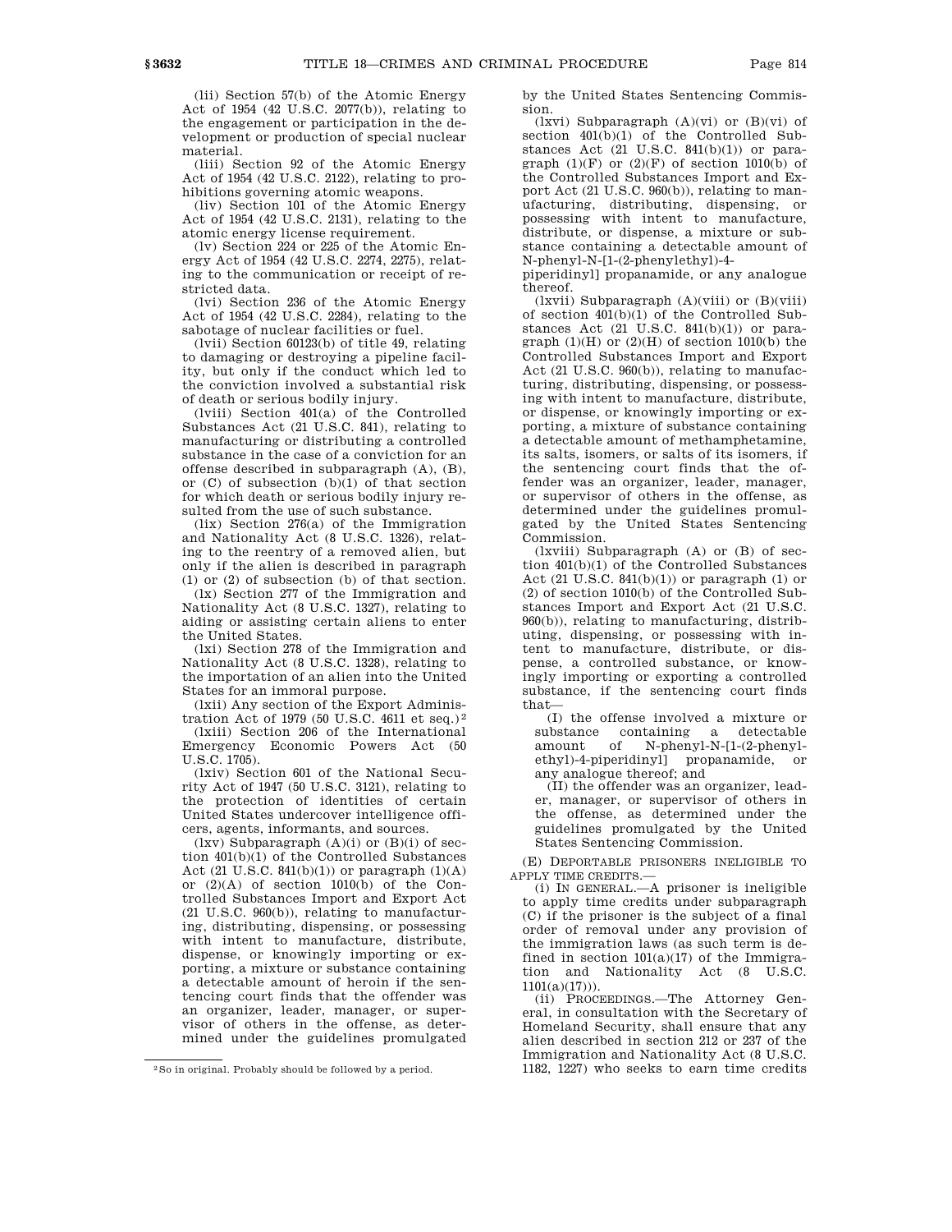(lii) Section 57(b) of the Atomic Energy Act of 1954 (42 U.S.C. 2077(b)), relating to the engagement or participation in the development or production of special nuclear material.

(liii) Section 92 of the Atomic Energy Act of 1954 (42 U.S.C. 2122), relating to prohibitions governing atomic weapons.

(liv) Section 101 of the Atomic Energy Act of 1954 (42 U.S.C. 2131), relating to the atomic energy license requirement.

(lv) Section 224 or 225 of the Atomic Energy Act of 1954 (42 U.S.C. 2274, 2275), relating to the communication or receipt of restricted data.

(lvi) Section 236 of the Atomic Energy Act of 1954 (42 U.S.C. 2284), relating to the sabotage of nuclear facilities or fuel.

(lvii) Section 60123(b) of title 49, relating to damaging or destroying a pipeline facility, but only if the conduct which led to the conviction involved a substantial risk of death or serious bodily injury.

(lviii) Section 401(a) of the Controlled Substances Act (21 U.S.C. 841), relating to manufacturing or distributing a controlled substance in the case of a conviction for an offense described in subparagraph (A), (B), or  $(C)$  of subsection  $(b)(1)$  of that section for which death or serious bodily injury resulted from the use of such substance.

(lix) Section 276(a) of the Immigration and Nationality Act (8 U.S.C. 1326), relating to the reentry of a removed alien, but only if the alien is described in paragraph (1) or (2) of subsection (b) of that section.

(lx) Section 277 of the Immigration and Nationality Act (8 U.S.C. 1327), relating to aiding or assisting certain aliens to enter the United States.

(lxi) Section 278 of the Immigration and Nationality Act (8 U.S.C. 1328), relating to the importation of an alien into the United States for an immoral purpose.

(lxii) Any section of the Export Administration Act of 1979 (50 U.S.C. 4611 et seq.) 2

(lxiii) Section 206 of the International Emergency Economic Powers Act (50 U.S.C. 1705).

(lxiv) Section 601 of the National Security Act of 1947 (50 U.S.C. 3121), relating to the protection of identities of certain United States undercover intelligence officers, agents, informants, and sources.

(lxv) Subparagraph (A)(i) or (B)(i) of section 401(b)(1) of the Controlled Substances Act (21 U.S.C.  $841(b)(1)$ ) or paragraph  $(1)(A)$ or  $(2)(A)$  of section 1010(b) of the Controlled Substances Import and Export Act (21 U.S.C. 960(b)), relating to manufacturing, distributing, dispensing, or possessing with intent to manufacture, distribute, dispense, or knowingly importing or exporting, a mixture or substance containing a detectable amount of heroin if the sentencing court finds that the offender was an organizer, leader, manager, or supervisor of others in the offense, as determined under the guidelines promulgated

by the United States Sentencing Commission.

(lxvi) Subparagraph (A)(vi) or (B)(vi) of section 401(b)(1) of the Controlled Substances Act  $(21 \text{ U.S.C. } 841(b)(1))$  or paragraph  $(1)(F)$  or  $(2)(F)$  of section 1010(b) of the Controlled Substances Import and Export Act (21 U.S.C. 960(b)), relating to manufacturing, distributing, dispensing, or possessing with intent to manufacture, distribute, or dispense, a mixture or substance containing a detectable amount of N-phenyl-N-[1-(2-phenylethyl)-4-

piperidinyl] propanamide, or any analogue thereof.

 $(lxvii)$  Subparagraph  $(A)(viii)$  or  $(B)(viii)$ of section 401(b)(1) of the Controlled Substances Act  $(21 \text{ U.S.C. } 841(b)(1))$  or paragraph  $(1)(H)$  or  $(2)(H)$  of section  $1010(b)$  the Controlled Substances Import and Export Act (21 U.S.C. 960(b)), relating to manufacturing, distributing, dispensing, or possessing with intent to manufacture, distribute, or dispense, or knowingly importing or exporting, a mixture of substance containing a detectable amount of methamphetamine, its salts, isomers, or salts of its isomers, if the sentencing court finds that the offender was an organizer, leader, manager, or supervisor of others in the offense, as determined under the guidelines promulgated by the United States Sentencing Commission.

(lxviii) Subparagraph (A) or (B) of section 401(b)(1) of the Controlled Substances Act (21 U.S.C.  $841(b)(1)$ ) or paragraph (1) or (2) of section 1010(b) of the Controlled Substances Import and Export Act (21 U.S.C. 960(b)), relating to manufacturing, distributing, dispensing, or possessing with intent to manufacture, distribute, or dispense, a controlled substance, or knowingly importing or exporting a controlled substance, if the sentencing court finds that—

(I) the offense involved a mixture or substance containing a detectable amount of N-phenyl-N-[1-(2-phenylethyl)-4-piperidinyl] propanamide, or any analogue thereof; and

(II) the offender was an organizer, leader, manager, or supervisor of others in the offense, as determined under the guidelines promulgated by the United States Sentencing Commission.

(E) DEPORTABLE PRISONERS INELIGIBLE TO APPLY TIME CREDITS.—

(i) IN GENERAL.—A prisoner is ineligible to apply time credits under subparagraph (C) if the prisoner is the subject of a final order of removal under any provision of the immigration laws (as such term is defined in section  $101(a)(17)$  of the Immigration and Nationality Act (8 U.S.C.  $1101(a)(17))$ .

(ii) PROCEEDINGS.—The Attorney General, in consultation with the Secretary of Homeland Security, shall ensure that any alien described in section 212 or 237 of the Immigration and Nationality Act (8 U.S.C. 1182, 1227) who seeks to earn time credits

<sup>2</sup>So in original. Probably should be followed by a period.